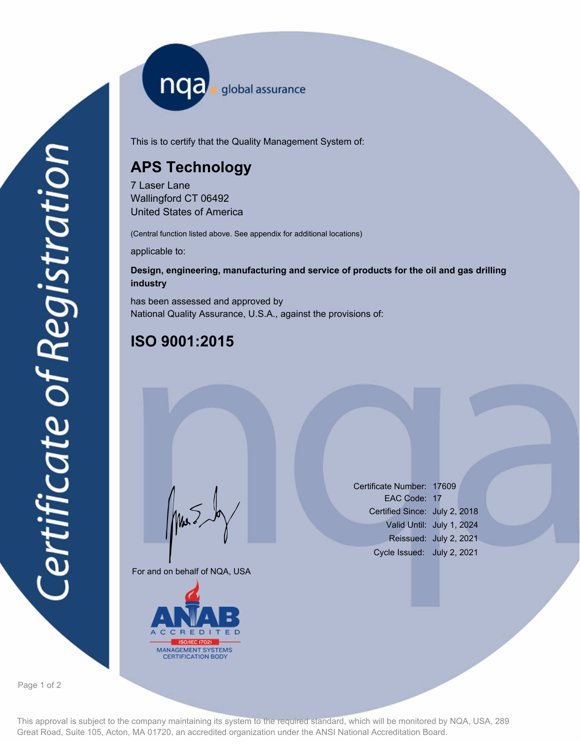nqa <sub>global assurance</sub>

This is to certify that the Quality Management System of:

## **APS Technology**

7 Laser Lane Wallingford CT 06492 United States of America

(Central function listed above. See appendix for additional locations)

applicable to:

## **Design, engineering, manufacturing and service of products for the oil and gas drilling industry**

has been assessed and approved by National Quality Assurance, U.S.A., against the provisions of:

## **ISO 9001:2015**

For and on behalf of NQA, USA

Mus



Certificate Number: 17609 EAC Code: 17 Certified Since: July 2, 2018 Valid Until: July 1, 2024 Reissued: July 2, 2021 Cycle Issued: July 2, 2021

Page 1 of 2

This approval is subject to the company maintaining its system to the required standard, which will be monitored by NQA, USA, 289 Great Road, Suite 105, Acton, MA 01720, an accredited organization under the ANSI National Accreditation Board.